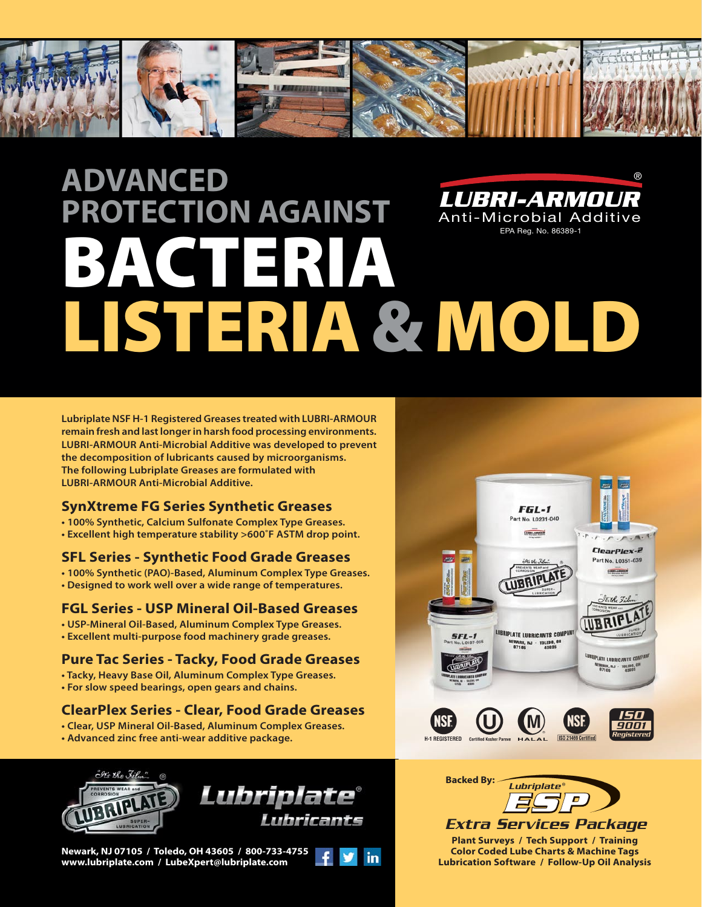

# **ADVANCED PROTECTION AGAINST** BACTERIA LISTERIA & MOLD *LUBRI-ARMOUR* Anti-Microbial Additive EPA Reg. No. 86389-1 ®

**Lubriplate NSF H-1 Registered Greases treated with LUBRI-ARMOUR remain fresh and last longer in harsh food processing environments. LUBRI-ARMOUR Anti-Microbial Additive was developed to prevent the decomposition of lubricants caused by microorganisms. The following Lubriplate Greases are formulated with LUBRI-ARMOUR Anti-Microbial Additive.**

#### **SynXtreme FG Series Synthetic Greases**

- **100% Synthetic, Calcium Sulfonate Complex Type Greases.**
- **Excellent high temperature stability >600˚F ASTM drop point.**

#### **SFL Series - Synthetic Food Grade Greases**

**• 100% Synthetic (PAO)-Based, Aluminum Complex Type Greases. • Designed to work well over a wide range of temperatures.** 

#### **FGL Series - USP Mineral Oil-Based Greases**

- **USP-Mineral Oil-Based, Aluminum Complex Type Greases.**
- **Excellent multi-purpose food machinery grade greases.**

### **Pure Tac Series - Tacky, Food Grade Greases**

- **Tacky, Heavy Base Oil, Aluminum Complex Type Greases.**
- **For slow speed bearings, open gears and chains.**

### **ClearPlex Series - Clear, Food Grade Greases**

- **Clear, USP Mineral Oil-Based, Aluminum Complex Greases.**
- **Advanced zinc free anti-wear additive package.**





**Newark, NJ 07105 / Toledo, OH 43605 / 800-733-4755 www.lubriplate.com / LubeXpert@lubriplate.com**







**Plant Surveys / Tech Support / Training Color Coded Lube Charts & Machine Tags Lubrication Software / Follow-Up Oil Analysis**  *Extra Services Package*